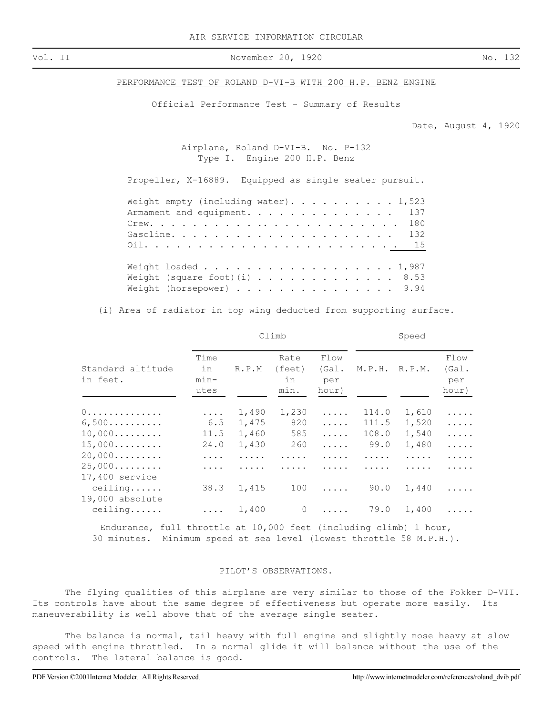Vol. II November 20, 1920 No. 132

PERFORMANCE TEST OF ROLAND D-VI-B WITH 200 H.P. BENZ ENGINE

Official Performance Test - Summary of Results

Date, August 4, 1920

Airplane, Roland D-VI-B. No. P-132 Type I. Engine 200 H.P. Benz

Propeller, X-16889. Equipped as single seater pursuit.

| Weight empty (including water). 1,523   |  |
|-----------------------------------------|--|
| Armament and equipment. 137             |  |
|                                         |  |
|                                         |  |
|                                         |  |
|                                         |  |
| Weight loaded 1,987                     |  |
| Weight (square foot)(i) $\ldots$ , 8.53 |  |
| Weight (horsepower) 9.94                |  |

(i) Area of radiator in top wing deducted from supporting surface.

|                                         |                              |       | Climb                        | Speed                         |        |        |                               |  |
|-----------------------------------------|------------------------------|-------|------------------------------|-------------------------------|--------|--------|-------------------------------|--|
| Standard altitude<br>in feet.           | Time<br>in<br>$min-$<br>utes | R.P.M | Rate<br>(feet)<br>in<br>min. | Flow<br>(Gal.<br>per<br>hour) | M.P.H. | R.P.M. | Flow<br>(Gal.<br>per<br>hour) |  |
| 0.                                      | .                            | 1,490 | 1,230                        | .                             | 114.0  | 1,610  | .                             |  |
| 6,500                                   | 6.5                          | 1,475 | 820                          | .                             | 111.5  | 1,520  | .                             |  |
| 10,000                                  | 11.5                         | 1,460 | 585                          | .                             | 108.0  | 1,540  | .                             |  |
| 15,000                                  | 24.0                         | 1,430 | 260                          | .                             | 99.0   | 1,480  | .                             |  |
| 20,000                                  | .                            | .     | .                            | .                             | .      | .      | .                             |  |
| 25,000<br>17,400 service                | .                            |       |                              |                               |        |        | .                             |  |
| $ceilling. \ldots$ .<br>19,000 absolute | 38.3                         | 1,415 | 100                          | .                             | 90.0   | 1,440  | .                             |  |
| ceiling                                 | $\cdots$                     | 1,400 | $\circ$                      | .                             | 79.0   | 1,400  |                               |  |

Endurance, full throttle at 10,000 feet (including climb) 1 hour, 30 minutes. Minimum speed at sea level (lowest throttle 58 M.P.H.).

## PILOT'S OBSERVATIONS.

The flying qualities of this airplane are very similar to those of the Fokker D-VII. Its controls have about the same degree of effectiveness but operate more easily. Its maneuverability is well above that of the average single seater.

The balance is normal, tail heavy with full engine and slightly nose heavy at slow speed with engine throttled. In a normal glide it will balance without the use of the controls. The lateral balance is good.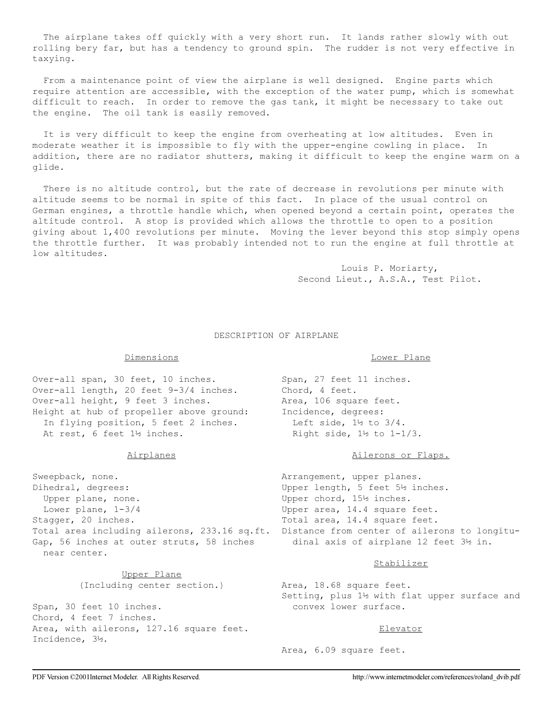The airplane takes off quickly with a very short run. It lands rather slowly with out rolling bery far, but has a tendency to ground spin. The rudder is not very effective in taxying.

 From a maintenance point of view the airplane is well designed. Engine parts which require attention are accessible, with the exception of the water pump, which is somewhat difficult to reach. In order to remove the gas tank, it might be necessary to take out the engine. The oil tank is easily removed.

 It is very difficult to keep the engine from overheating at low altitudes. Even in moderate weather it is impossible to fly with the upper-engine cowling in place. In addition, there are no radiator shutters, making it difficult to keep the engine warm on a glide.

 There is no altitude control, but the rate of decrease in revolutions per minute with altitude seems to be normal in spite of this fact. In place of the usual control on German engines, a throttle handle which, when opened beyond a certain point, operates the altitude control. A stop is provided which allows the throttle to open to a position giving about 1,400 revolutions per minute. Moving the lever beyond this stop simply opens the throttle further. It was probably intended not to run the engine at full throttle at low altitudes.

> Louis P. Moriarty, Second Lieut., A.S.A., Test Pilot.

#### DESCRIPTION OF AIRPLANE

# Dimensions

Over-all span, 30 feet, 10 inches. Over-all length, 20 feet 9-3/4 inches. Over-all height, 9 feet 3 inches. Height at hub of propeller above ground: In flying position, 5 feet 2 inches. At rest, 6 feet 1½ inches.

## Airplanes

Sweepback, none. Dihedral, degrees: Upper plane, none. Lower plane, 1-3/4 Stagger, 20 inches. Gap, 56 inches at outer struts, 58 inches near center.

> Upper Plane (Including center section.)

Span, 30 feet 10 inches. Chord, 4 feet 7 inches. Area, with ailerons, 127.16 square feet. Incidence, 3½.

## Lower Plane

Span, 27 feet 11 inches. Chord, 4 feet. Area, 106 square feet. Incidence, degrees: Left side, 1½ to 3/4. Right side, 1½ to 1-1/3.

## Ailerons or Flaps.

Total area including ailerons, 233.16 sq.ft. Distance from center of ailerons to longitu- Arrangement, upper planes. Upper length, 5 feet 5½ inches. Upper chord, 15½ inches. Upper area, 14.4 square feet. Total area, 14.4 square feet. dinal axis of airplane 12 feet 3½ in.

## Stabilizer

Area, 18.68 square feet. Setting, plus 1½ with flat upper surface and convex lower surface.

## Elevator

Area, 6.09 square feet.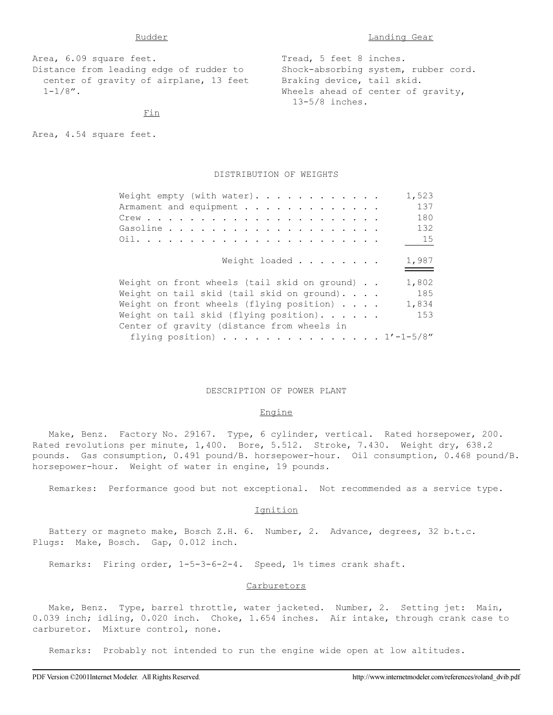Area, 6.09 square feet. Distance from leading edge of rudder to center of gravity of airplane, 13 feet  $1 - 1/8$ ". Tread, 5 feet 8 inches. Shock-absorbing system, rubber cord. Braking device, tail skid. Wheels ahead of center of gravity, 13-5/8 inches.

Fin

Area, 4.54 square feet.

## DISTRIBUTION OF WEIGHTS

| Weight empty (with water).                          | 1,523 |  |  |  |  |  |  |  |
|-----------------------------------------------------|-------|--|--|--|--|--|--|--|
| Armament and equipment                              | 137   |  |  |  |  |  |  |  |
|                                                     | 180   |  |  |  |  |  |  |  |
|                                                     | 132   |  |  |  |  |  |  |  |
|                                                     | 15    |  |  |  |  |  |  |  |
|                                                     |       |  |  |  |  |  |  |  |
| Weight loaded                                       | 1,987 |  |  |  |  |  |  |  |
|                                                     |       |  |  |  |  |  |  |  |
| Weight on front wheels (tail skid on ground)        | 1,802 |  |  |  |  |  |  |  |
| Weight on tail skid (tail skid on ground). $\ldots$ | 185   |  |  |  |  |  |  |  |
| Weight on front wheels (flying position)            | 1,834 |  |  |  |  |  |  |  |
| Weight on tail skid (flying position). $\cdots$ .   | 153   |  |  |  |  |  |  |  |
| Center of gravity (distance from wheels in          |       |  |  |  |  |  |  |  |
| flying position) 1'-1-5/8"                          |       |  |  |  |  |  |  |  |

#### DESCRIPTION OF POWER PLANT

## Engine

 Make, Benz. Factory No. 29167. Type, 6 cylinder, vertical. Rated horsepower, 200. Rated revolutions per minute, 1,400. Bore, 5.512. Stroke, 7.430. Weight dry, 638.2 pounds. Gas consumption, 0.491 pound/B. horsepower-hour. Oil consumption, 0.468 pound/B. horsepower-hour. Weight of water in engine, 19 pounds.

Remarkes: Performance good but not exceptional. Not recommended as a service type.

#### Ignition

 Battery or magneto make, Bosch Z.H. 6. Number, 2. Advance, degrees, 32 b.t.c. Plugs: Make, Bosch. Gap, 0.012 inch.

Remarks: Firing order, 1-5-3-6-2-4. Speed, 1½ times crank shaft.

## **Carburetors**

 Make, Benz. Type, barrel throttle, water jacketed. Number, 2. Setting jet: Main, 0.039 inch; idling, 0.020 inch. Choke, 1.654 inches. Air intake, through crank case to carburetor. Mixture control, none.

Remarks: Probably not intended to run the engine wide open at low altitudes.